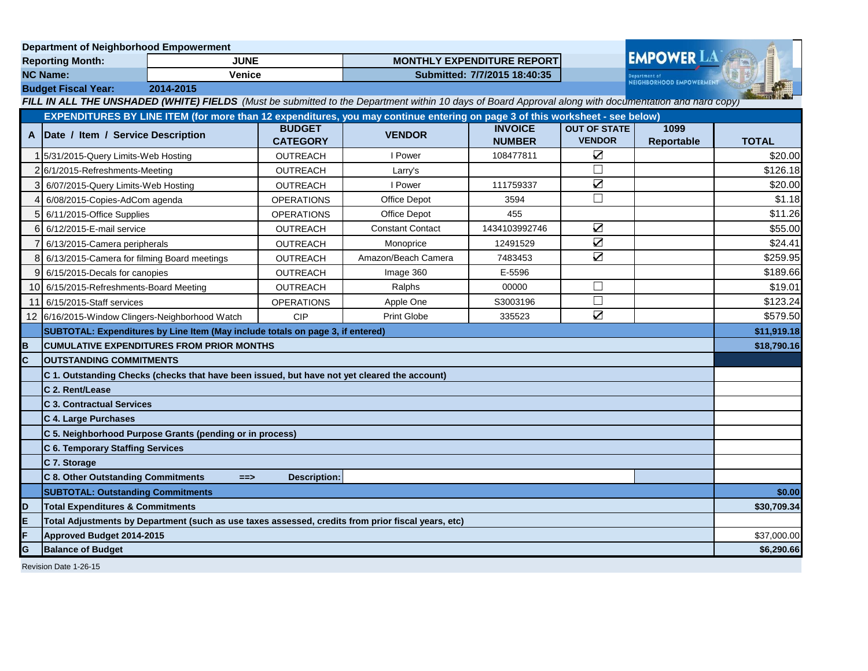| <b>Department of Neighborhood Empowerment</b> |                                                                                                                                                       |                                                                                |                                   |                         |                                 |                                      |                    |              |
|-----------------------------------------------|-------------------------------------------------------------------------------------------------------------------------------------------------------|--------------------------------------------------------------------------------|-----------------------------------|-------------------------|---------------------------------|--------------------------------------|--------------------|--------------|
| <b>JUNE</b><br><b>Reporting Month:</b>        |                                                                                                                                                       |                                                                                | <b>MONTHLY EXPENDITURE REPORT</b> |                         |                                 | <b>EMPOWER LA</b>                    |                    |              |
| <b>NC Name:</b><br><b>Venice</b>              |                                                                                                                                                       |                                                                                | Submitted: 7/7/2015 18:40:35      |                         |                                 | <b>NEIGHBORHOOD EMPOWERMENT</b>      |                    |              |
|                                               | <b>Budget Fiscal Year:</b><br>2014-2015                                                                                                               |                                                                                |                                   |                         |                                 |                                      |                    |              |
|                                               | FILL IN ALL THE UNSHADED (WHITE) FIELDS (Must be submitted to the Department within 10 days of Board Approval along with documentation and hard copy) |                                                                                |                                   |                         |                                 |                                      |                    |              |
|                                               | EXPENDITURES BY LINE ITEM (for more than 12 expenditures, you may continue entering on page 3 of this worksheet - see below)                          |                                                                                |                                   |                         |                                 |                                      |                    |              |
|                                               | A Date / Item / Service Description                                                                                                                   |                                                                                | <b>BUDGET</b><br><b>CATEGORY</b>  | <b>VENDOR</b>           | <b>INVOICE</b><br><b>NUMBER</b> | <b>OUT OF STATE</b><br><b>VENDOR</b> | 1099<br>Reportable | <b>TOTAL</b> |
|                                               | 1 5/31/2015-Query Limits-Web Hosting                                                                                                                  |                                                                                | <b>OUTREACH</b>                   | I Power                 | 108477811                       | $\sum$                               |                    | \$20.00      |
|                                               | 26/1/2015-Refreshments-Meeting                                                                                                                        |                                                                                | <b>OUTREACH</b>                   | Larry's                 |                                 | П                                    |                    | \$126.18     |
|                                               | 6/07/2015-Query Limits-Web Hosting                                                                                                                    |                                                                                | <b>OUTREACH</b>                   | I Power                 | 111759337                       | $\sum$                               |                    | \$20.00      |
| 4                                             | 6/08/2015-Copies-AdCom agenda                                                                                                                         |                                                                                | <b>OPERATIONS</b>                 | Office Depot            | 3594                            | $\Box$                               |                    | \$1.18       |
| 5                                             | 6/11/2015-Office Supplies                                                                                                                             |                                                                                | <b>OPERATIONS</b>                 | Office Depot            | 455                             |                                      |                    | \$11.26      |
|                                               | 6 6/12/2015-E-mail service                                                                                                                            |                                                                                | OUTREACH                          | <b>Constant Contact</b> | 1434103992746                   | $\sum$                               |                    | \$55.00      |
| 7                                             | 6/13/2015-Camera peripherals                                                                                                                          |                                                                                | <b>OUTREACH</b>                   | Monoprice               | 12491529                        | $\overline{\mathbf{S}}$              |                    | \$24.41      |
|                                               | 8 6/13/2015-Camera for filming Board meetings                                                                                                         |                                                                                | <b>OUTREACH</b>                   | Amazon/Beach Camera     | 7483453                         | ☑                                    |                    | \$259.95     |
|                                               | 9 6/15/2015-Decals for canopies                                                                                                                       |                                                                                | <b>OUTREACH</b>                   | Image 360               | E-5596                          |                                      |                    | \$189.66     |
|                                               | 10 6/15/2015-Refreshments-Board Meeting                                                                                                               |                                                                                | <b>OUTREACH</b>                   | Ralphs                  | 00000                           | $\Box$                               |                    | \$19.01      |
| 11                                            | 6/15/2015-Staff services                                                                                                                              |                                                                                | <b>OPERATIONS</b>                 | Apple One               | S3003196                        | П                                    |                    | \$123.24     |
|                                               | 12 6/16/2015-Window Clingers-Neighborhood Watch                                                                                                       |                                                                                | CIP                               | <b>Print Globe</b>      | 335523                          | ☑                                    |                    | \$579.50     |
|                                               |                                                                                                                                                       | SUBTOTAL: Expenditures by Line Item (May include totals on page 3, if entered) |                                   |                         |                                 |                                      |                    | \$11,919.18  |
| в                                             | <b>CUMULATIVE EXPENDITURES FROM PRIOR MONTHS</b>                                                                                                      |                                                                                |                                   |                         |                                 |                                      | \$18,790.16        |              |
| C                                             | <b>OUTSTANDING COMMITMENTS</b>                                                                                                                        |                                                                                |                                   |                         |                                 |                                      |                    |              |
|                                               | C 1. Outstanding Checks (checks that have been issued, but have not yet cleared the account)                                                          |                                                                                |                                   |                         |                                 |                                      |                    |              |
|                                               | C 2. Rent/Lease                                                                                                                                       |                                                                                |                                   |                         |                                 |                                      |                    |              |
|                                               | <b>C 3. Contractual Services</b>                                                                                                                      |                                                                                |                                   |                         |                                 |                                      |                    |              |
|                                               | C 4. Large Purchases                                                                                                                                  |                                                                                |                                   |                         |                                 |                                      |                    |              |
|                                               |                                                                                                                                                       | C 5. Neighborhood Purpose Grants (pending or in process)                       |                                   |                         |                                 |                                      |                    |              |
|                                               | C 6. Temporary Staffing Services                                                                                                                      |                                                                                |                                   |                         |                                 |                                      |                    |              |
|                                               | C 7. Storage                                                                                                                                          |                                                                                |                                   |                         |                                 |                                      |                    |              |
|                                               | C 8. Other Outstanding Commitments                                                                                                                    | $==$                                                                           | Description:                      |                         |                                 |                                      |                    |              |
|                                               | <b>SUBTOTAL: Outstanding Commitments</b>                                                                                                              |                                                                                |                                   |                         |                                 |                                      | \$0.00             |              |
| D                                             | <b>Total Expenditures &amp; Commitments</b>                                                                                                           |                                                                                |                                   |                         |                                 | \$30,709.34                          |                    |              |
| Е                                             | Total Adjustments by Department (such as use taxes assessed, credits from prior fiscal years, etc)                                                    |                                                                                |                                   |                         |                                 |                                      |                    |              |
| F                                             | Approved Budget 2014-2015                                                                                                                             |                                                                                |                                   |                         |                                 |                                      | \$37,000.00        |              |
| G                                             | <b>Balance of Budget</b>                                                                                                                              |                                                                                |                                   |                         |                                 |                                      | \$6,290.66         |              |
|                                               |                                                                                                                                                       |                                                                                |                                   |                         |                                 |                                      |                    |              |

Revision Date 1-26-15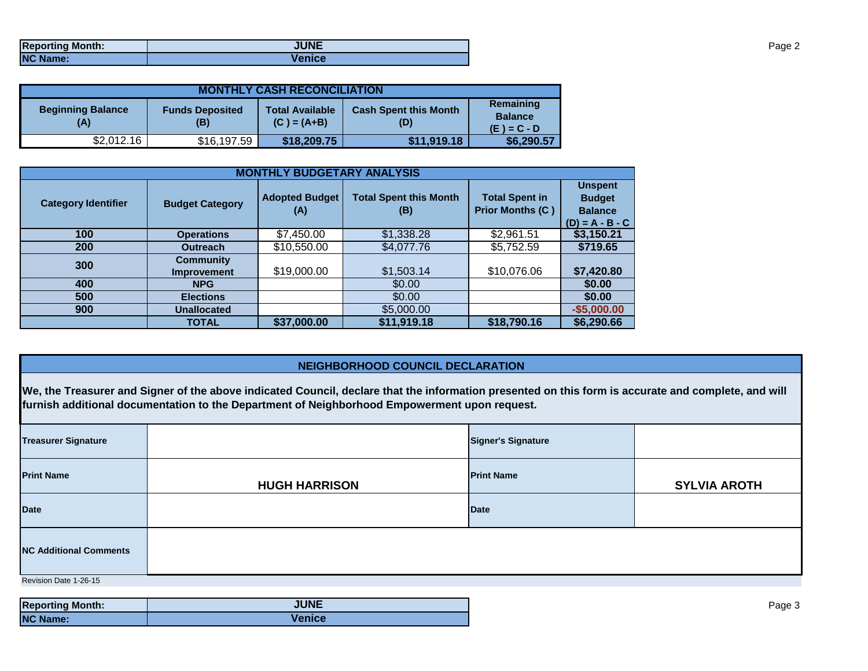| <b>Reporting Month:</b> | <b>JUNE</b>   |
|-------------------------|---------------|
| <b>NC Name:</b>         | <b>Venice</b> |

| <b>MONTHLY CASH RECONCILIATION</b> |                               |                                         |                                     |                                              |  |  |
|------------------------------------|-------------------------------|-----------------------------------------|-------------------------------------|----------------------------------------------|--|--|
| <b>Beginning Balance</b><br>(A)    | <b>Funds Deposited</b><br>(B) | <b>Total Available</b><br>$(C) = (A+B)$ | <b>Cash Spent this Month</b><br>(D) | Remaining<br><b>Balance</b><br>$(E) = C - D$ |  |  |
| \$2,012.16                         | \$16,197.59                   | \$18,209.75                             | \$11,919.18                         | \$6,290.57                                   |  |  |

| <b>MONTHLY BUDGETARY ANALYSIS</b> |                                 |                              |                                      |                                                  |                                                                        |  |  |
|-----------------------------------|---------------------------------|------------------------------|--------------------------------------|--------------------------------------------------|------------------------------------------------------------------------|--|--|
| <b>Category Identifier</b>        | <b>Budget Category</b>          | <b>Adopted Budget</b><br>(A) | <b>Total Spent this Month</b><br>(B) | <b>Total Spent in</b><br><b>Prior Months (C)</b> | <b>Unspent</b><br><b>Budget</b><br><b>Balance</b><br>$(D) = A - B - C$ |  |  |
| 100                               | <b>Operations</b>               | \$7,450.00                   | \$1,338.28                           | \$2,961.51                                       | \$3,150.21                                                             |  |  |
| <b>200</b>                        | <b>Outreach</b>                 | \$10,550.00                  | \$4,077.76                           | \$5,752.59                                       | \$719.65                                                               |  |  |
| 300                               | <b>Community</b><br>Improvement | \$19,000.00                  | \$1,503.14                           | \$10,076.06                                      | \$7,420.80                                                             |  |  |
| 400                               | <b>NPG</b>                      |                              | \$0.00                               |                                                  | \$0.00                                                                 |  |  |
| 500                               | <b>Elections</b>                |                              | \$0.00                               |                                                  | \$0.00                                                                 |  |  |
| 900                               | <b>Unallocated</b>              |                              | \$5,000.00                           |                                                  | $-$5,000.00$                                                           |  |  |
|                                   | <b>TOTAL</b>                    | \$37,000.00                  | \$11,919.18                          | \$18,790.16                                      | \$6,290.66                                                             |  |  |

## **NEIGHBORHOOD COUNCIL DECLARATION**

**We, the Treasurer and Signer of the above indicated Council, declare that the information presented on this form is accurate and complete, and will furnish additional documentation to the Department of Neighborhood Empowerment upon request.**

| <b>Treasurer Signature</b>    |                      | <b>Signer's Signature</b> |                     |  |  |  |
|-------------------------------|----------------------|---------------------------|---------------------|--|--|--|
| <b>Print Name</b>             | <b>HUGH HARRISON</b> | <b>Print Name</b>         | <b>SYLVIA AROTH</b> |  |  |  |
| <b>Date</b>                   |                      | <b>Date</b>               |                     |  |  |  |
| <b>NC Additional Comments</b> |                      |                           |                     |  |  |  |
| Revision Date 1-26-15         |                      |                           |                     |  |  |  |

| <b>Reporting Month:</b> | <b>JUNE</b>   |
|-------------------------|---------------|
| <b>NC Name:</b>         | <b>Venice</b> |